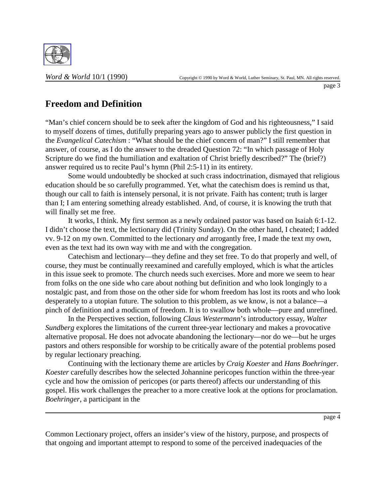

## **Freedom and Definition**

"Man's chief concern should be to seek after the kingdom of God and his righteousness," I said to myself dozens of times, dutifully preparing years ago to answer publicly the first question in the *Evangelical Catechism* : "What should be the chief concern of man?" I still remember that answer, of course, as I do the answer to the dreaded Question 72: "In which passage of Holy Scripture do we find the humiliation and exaltation of Christ briefly described?" The (brief?) answer required us to recite Paul's hymn (Phil 2:5-11) in its entirety.

Some would undoubtedly be shocked at such crass indoctrination, dismayed that religious education should be so carefully programmed. Yet, what the catechism does is remind us that, though our call to faith is intensely personal, it is not private. Faith has content; truth is larger than I; I am entering something already established. And, of course, it is knowing the truth that will finally set me free.

It works, I think. My first sermon as a newly ordained pastor was based on Isaiah 6:1-12. I didn't choose the text, the lectionary did (Trinity Sunday). On the other hand, I cheated; I added vv. 9-12 on my own. Committed to the lectionary *and* arrogantly free, I made the text my own, even as the text had its own way with me and with the congregation.

Catechism and lectionary—they define and they set free. To do that properly and well, of course, they must be continually reexamined and carefully employed, which is what the articles in this issue seek to promote. The church needs such exercises. More and more we seem to hear from folks on the one side who care about nothing but definition and who look longingly to a nostalgic past, and from those on the other side for whom freedom has lost its roots and who look desperately to a utopian future. The solution to this problem, as we know, is not a balance—a pinch of definition and a modicum of freedom. It is to swallow both whole—pure and unrefined.

In the Perspectives section, following *Claus Westermann*'s introductory essay, *Walter Sundberg* explores the limitations of the current three-year lectionary and makes a provocative alternative proposal. He does not advocate abandoning the lectionary—nor do we—but he urges pastors and others responsible for worship to be critically aware of the potential problems posed by regular lectionary preaching.

Continuing with the lectionary theme are articles by *Craig Koester* and *Hans Boehringer*. *Koester* carefully describes how the selected Johannine pericopes function within the three-year cycle and how the omission of pericopes (or parts thereof) affects our understanding of this gospel. His work challenges the preacher to a more creative look at the options for proclamation. *Boehringer*, a participant in the

page 4

Common Lectionary project, offers an insider's view of the history, purpose, and prospects of that ongoing and important attempt to respond to some of the perceived inadequacies of the